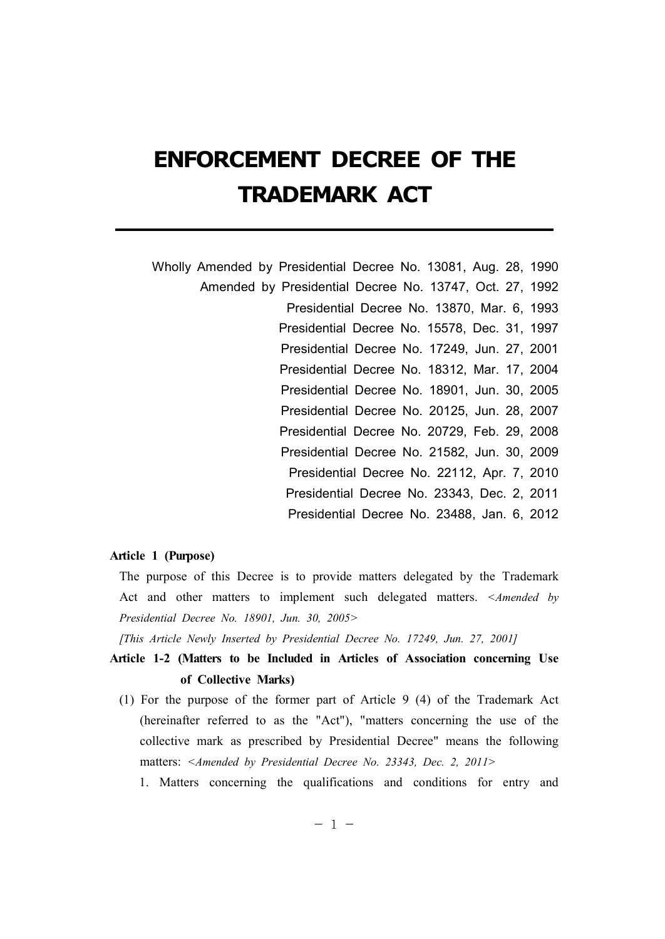# **ENFORCEMENT DECREE OF THE TRADEMARK ACT**

Wholly Amended by Presidential Decree No. 13081, Aug. 28, 1990 Amended by Presidential Decree No. 13747, Oct. 27, 1992 Presidential Decree No. 13870, Mar. 6, 1993 Presidential Decree No. 15578, Dec. 31, 1997 Presidential Decree No. 17249, Jun. 27, 2001 Presidential Decree No. 18312, Mar. 17, 2004 Presidential Decree No. 18901, Jun. 30, 2005 Presidential Decree No. 20125, Jun. 28, 2007 Presidential Decree No. 20729, Feb. 29, 2008 Presidential Decree No. 21582, Jun. 30, 2009 Presidential Decree No. 22112, Apr. 7, 2010 Presidential Decree No. 23343, Dec. 2, 2011 Presidential Decree No. 23488, Jan. 6, 2012

### **Article 1 (Purpose)**

The purpose of this Decree is to provide matters delegated by the Trademark Act and other matters to implement such delegated matters. *<Amended by Presidential Decree No. 18901, Jun. 30, 2005>*

*[This Article Newly Inserted by Presidential Decree No. 17249, Jun. 27, 2001]*

# **Article 1-2 (Matters to be Included in Articles of Association concerning Use of Collective Marks)**

- (1) For the purpose of the former part of Article 9 (4) of the Trademark Act (hereinafter referred to as the "Act"), "matters concerning the use of the collective mark as prescribed by Presidential Decree" means the following matters: *<Amended by Presidential Decree No. 23343, Dec. 2, 2011>*
	- 1. Matters concerning the qualifications and conditions for entry and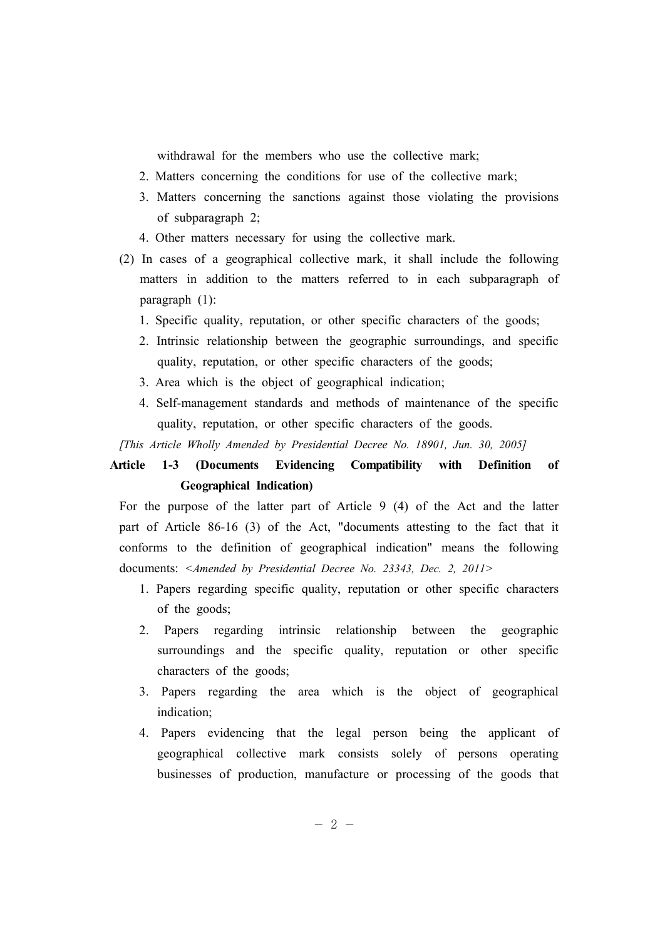withdrawal for the members who use the collective mark;

- 2. Matters concerning the conditions for use of the collective mark;
- 3. Matters concerning the sanctions against those violating the provisions of subparagraph 2;
- 4. Other matters necessary for using the collective mark.
- (2) In cases of a geographical collective mark, it shall include the following matters in addition to the matters referred to in each subparagraph of paragraph (1):
	- 1. Specific quality, reputation, or other specific characters of the goods;
	- 2. Intrinsic relationship between the geographic surroundings, and specific quality, reputation, or other specific characters of the goods;
	- 3. Area which is the object of geographical indication;
	- 4. Self-management standards and methods of maintenance of the specific quality, reputation, or other specific characters of the goods.

*[This Article Wholly Amended by Presidential Decree No. 18901, Jun. 30, 2005]*

# **Article 1-3 (Documents Evidencing Compatibility with Definition of Geographical Indication)**

For the purpose of the latter part of Article 9 (4) of the Act and the latter part of Article 86-16 (3) of the Act, "documents attesting to the fact that it conforms to the definition of geographical indication" means the following documents: *<Amended by Presidential Decree No. 23343, Dec. 2, 2011>*

- 1. Papers regarding specific quality, reputation or other specific characters of the goods;
- 2. Papers regarding intrinsic relationship between the geographic surroundings and the specific quality, reputation or other specific characters of the goods;
- 3. Papers regarding the area which is the object of geographical indication;
- 4. Papers evidencing that the legal person being the applicant of geographical collective mark consists solely of persons operating businesses of production, manufacture or processing of the goods that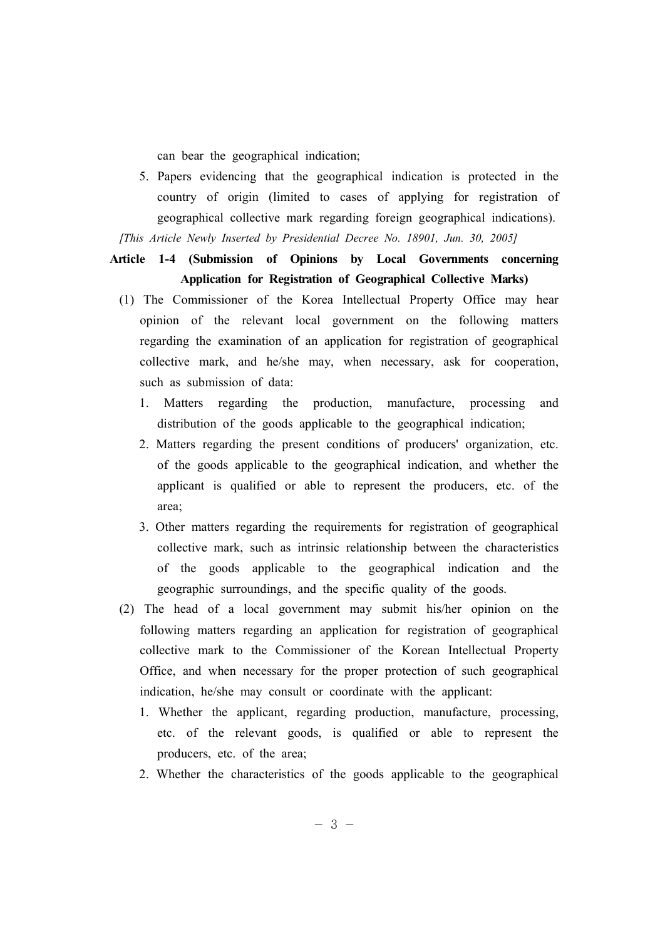can bear the geographical indication;

5. Papers evidencing that the geographical indication is protected in the country of origin (limited to cases of applying for registration of geographical collective mark regarding foreign geographical indications).

*[This Article Newly Inserted by Presidential Decree No. 18901, Jun. 30, 2005]*

# **Article 1-4 (Submission of Opinions by Local Governments concerning Application for Registration of Geographical Collective Marks)**

- (1) The Commissioner of the Korea Intellectual Property Office may hear opinion of the relevant local government on the following matters regarding the examination of an application for registration of geographical collective mark, and he/she may, when necessary, ask for cooperation, such as submission of data:
	- 1. Matters regarding the production, manufacture, processing and distribution of the goods applicable to the geographical indication;
	- 2. Matters regarding the present conditions of producers' organization, etc. of the goods applicable to the geographical indication, and whether the applicant is qualified or able to represent the producers, etc. of the area;
	- 3. Other matters regarding the requirements for registration of geographical collective mark, such as intrinsic relationship between the characteristics of the goods applicable to the geographical indication and the geographic surroundings, and the specific quality of the goods.
- (2) The head of a local government may submit his/her opinion on the following matters regarding an application for registration of geographical collective mark to the Commissioner of the Korean Intellectual Property Office, and when necessary for the proper protection of such geographical indication, he/she may consult or coordinate with the applicant:
	- 1. Whether the applicant, regarding production, manufacture, processing, etc. of the relevant goods, is qualified or able to represent the producers, etc. of the area;
	- 2. Whether the characteristics of the goods applicable to the geographical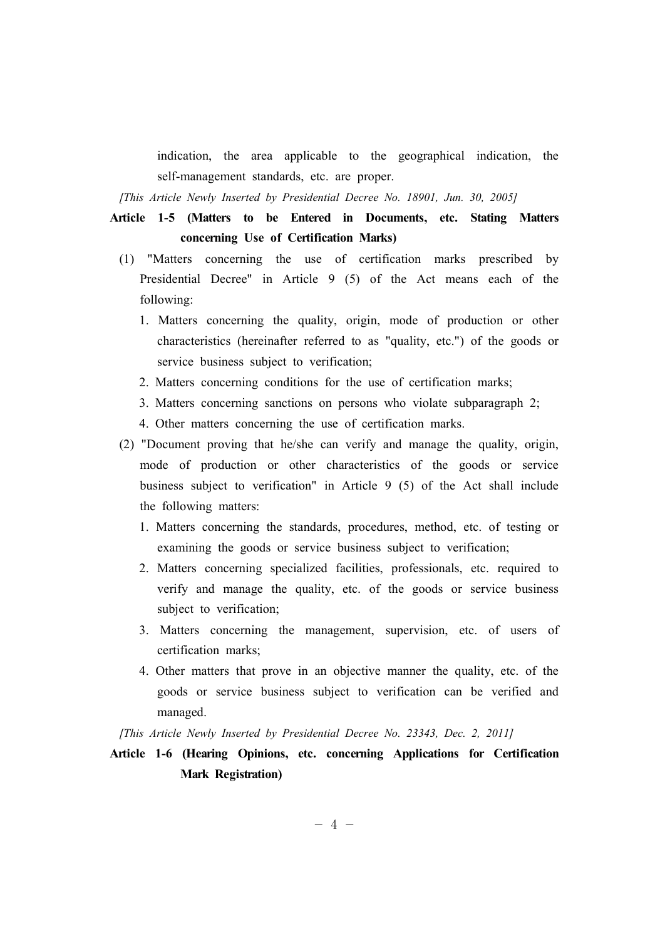indication, the area applicable to the geographical indication, the self-management standards, etc. are proper.

*[This Article Newly Inserted by Presidential Decree No. 18901, Jun. 30, 2005]*

- **Article 1-5 (Matters to be Entered in Documents, etc. Stating Matters concerning Use of Certification Marks)**
	- (1) "Matters concerning the use of certification marks prescribed by Presidential Decree" in Article 9 (5) of the Act means each of the following:
		- 1. Matters concerning the quality, origin, mode of production or other characteristics (hereinafter referred to as "quality, etc.") of the goods or service business subject to verification;
		- 2. Matters concerning conditions for the use of certification marks;
		- 3. Matters concerning sanctions on persons who violate subparagraph 2;
		- 4. Other matters concerning the use of certification marks.
	- (2) "Document proving that he/she can verify and manage the quality, origin, mode of production or other characteristics of the goods or service business subject to verification" in Article 9 (5) of the Act shall include the following matters:
		- 1. Matters concerning the standards, procedures, method, etc. of testing or examining the goods or service business subject to verification;
		- 2. Matters concerning specialized facilities, professionals, etc. required to verify and manage the quality, etc. of the goods or service business subject to verification;
		- 3. Matters concerning the management, supervision, etc. of users of certification marks;
		- 4. Other matters that prove in an objective manner the quality, etc. of the goods or service business subject to verification can be verified and managed.

*[This Article Newly Inserted by Presidential Decree No. 23343, Dec. 2, 2011]*

# **Article 1-6 (Hearing Opinions, etc. concerning Applications for Certification Mark Registration)**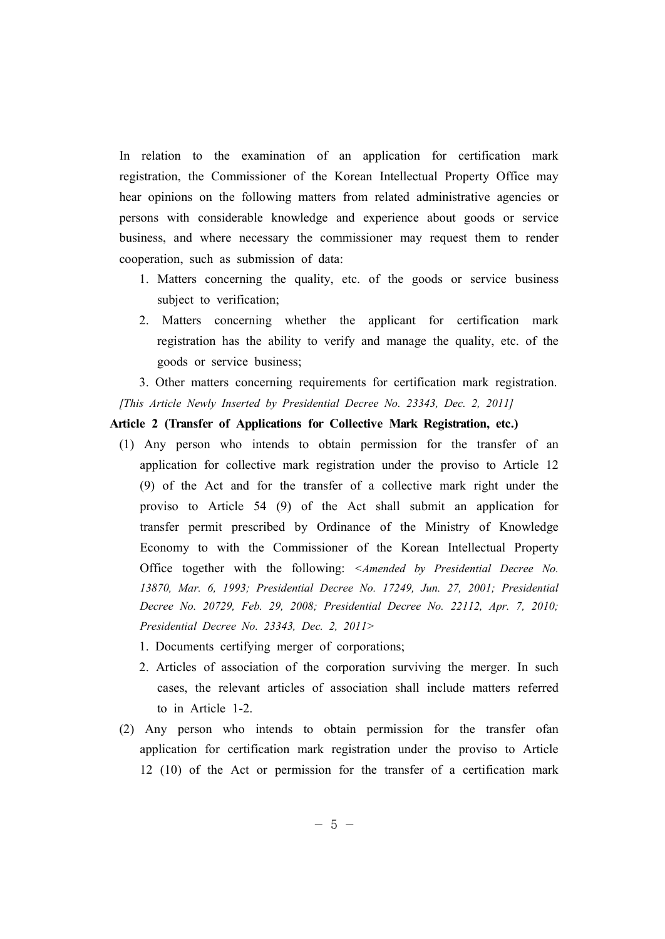In relation to the examination of an application for certification mark registration, the Commissioner of the Korean Intellectual Property Office may hear opinions on the following matters from related administrative agencies or persons with considerable knowledge and experience about goods or service business, and where necessary the commissioner may request them to render cooperation, such as submission of data:

- 1. Matters concerning the quality, etc. of the goods or service business subject to verification;
- 2. Matters concerning whether the applicant for certification mark registration has the ability to verify and manage the quality, etc. of the goods or service business;

3. Other matters concerning requirements for certification mark registration. *[This Article Newly Inserted by Presidential Decree No. 23343, Dec. 2, 2011]*

## **Article 2 (Transfer of Applications for Collective Mark Registration, etc.)**

- (1) Any person who intends to obtain permission for the transfer of an application for collective mark registration under the proviso to Article 12 (9) of the Act and for the transfer of a collective mark right under the proviso to Article 54 (9) of the Act shall submit an application for transfer permit prescribed by Ordinance of the Ministry of Knowledge Economy to with the Commissioner of the Korean Intellectual Property Office together with the following: *<Amended by Presidential Decree No. 13870, Mar. 6, 1993; Presidential Decree No. 17249, Jun. 27, 2001; Presidential Decree No. 20729, Feb. 29, 2008; Presidential Decree No. 22112, Apr. 7, 2010; Presidential Decree No. 23343, Dec. 2, 2011>*
	- 1. Documents certifying merger of corporations;
	- 2. Articles of association of the corporation surviving the merger. In such cases, the relevant articles of association shall include matters referred to in Article 1-2.
- (2) Any person who intends to obtain permission for the transfer ofan application for certification mark registration under the proviso to Article 12 (10) of the Act or permission for the transfer of a certification mark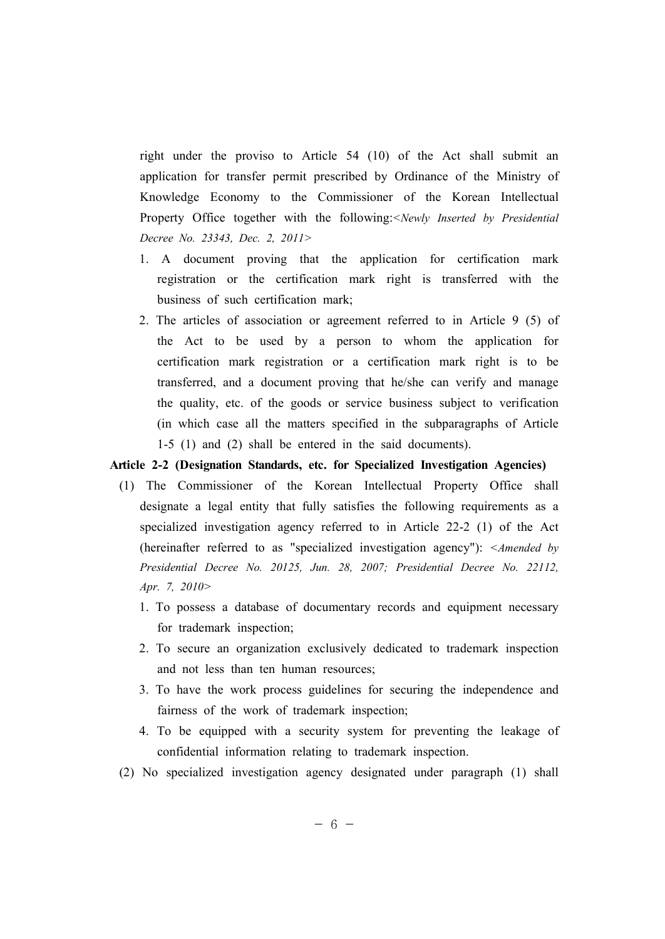right under the proviso to Article 54 (10) of the Act shall submit an application for transfer permit prescribed by Ordinance of the Ministry of Knowledge Economy to the Commissioner of the Korean Intellectual Property Office together with the following:*<Newly Inserted by Presidential Decree No. 23343, Dec. 2, 2011>*

- 1. A document proving that the application for certification mark registration or the certification mark right is transferred with the business of such certification mark;
- 2. The articles of association or agreement referred to in Article 9 (5) of the Act to be used by a person to whom the application for certification mark registration or a certification mark right is to be transferred, and a document proving that he/she can verify and manage the quality, etc. of the goods or service business subject to verification (in which case all the matters specified in the subparagraphs of Article 1-5 (1) and (2) shall be entered in the said documents).

# **Article 2-2 (Designation Standards, etc. for Specialized Investigation Agencies)**

- (1) The Commissioner of the Korean Intellectual Property Office shall designate a legal entity that fully satisfies the following requirements as a specialized investigation agency referred to in Article 22-2 (1) of the Act (hereinafter referred to as "specialized investigation agency"): *<Amended by Presidential Decree No. 20125, Jun. 28, 2007; Presidential Decree No. 22112, Apr. 7, 2010>*
	- 1. To possess a database of documentary records and equipment necessary for trademark inspection;
	- 2. To secure an organization exclusively dedicated to trademark inspection and not less than ten human resources;
	- 3. To have the work process guidelines for securing the independence and fairness of the work of trademark inspection;
	- 4. To be equipped with a security system for preventing the leakage of confidential information relating to trademark inspection.
- (2) No specialized investigation agency designated under paragraph (1) shall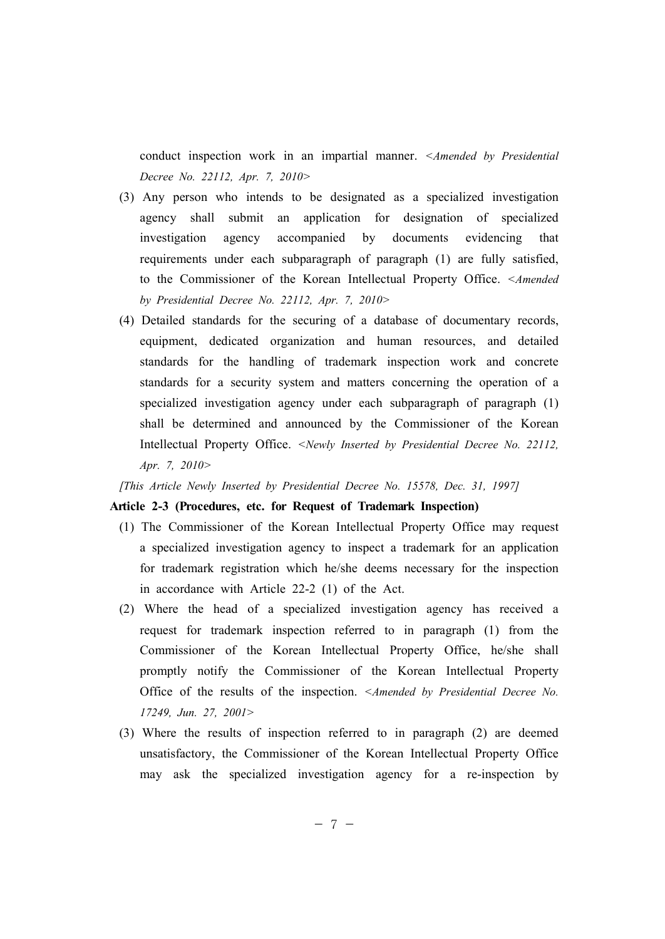conduct inspection work in an impartial manner. *<Amended by Presidential Decree No. 22112, Apr. 7, 2010>*

- (3) Any person who intends to be designated as a specialized investigation agency shall submit an application for designation of specialized investigation agency accompanied by documents evidencing that requirements under each subparagraph of paragraph (1) are fully satisfied, to the Commissioner of the Korean Intellectual Property Office. *<Amended by Presidential Decree No. 22112, Apr. 7, 2010>*
- (4) Detailed standards for the securing of a database of documentary records, equipment, dedicated organization and human resources, and detailed standards for the handling of trademark inspection work and concrete standards for a security system and matters concerning the operation of a specialized investigation agency under each subparagraph of paragraph (1) shall be determined and announced by the Commissioner of the Korean Intellectual Property Office. *<Newly Inserted by Presidential Decree No. 22112, Apr. 7, 2010>*

*[This Article Newly Inserted by Presidential Decree No. 15578, Dec. 31, 1997]*

## **Article 2-3 (Procedures, etc. for Request of Trademark Inspection)**

- (1) The Commissioner of the Korean Intellectual Property Office may request a specialized investigation agency to inspect a trademark for an application for trademark registration which he/she deems necessary for the inspection in accordance with Article 22-2 (1) of the Act.
- (2) Where the head of a specialized investigation agency has received a request for trademark inspection referred to in paragraph (1) from the Commissioner of the Korean Intellectual Property Office, he/she shall promptly notify the Commissioner of the Korean Intellectual Property Office of the results of the inspection. *<Amended by Presidential Decree No. 17249, Jun. 27, 2001>*
- (3) Where the results of inspection referred to in paragraph (2) are deemed unsatisfactory, the Commissioner of the Korean Intellectual Property Office may ask the specialized investigation agency for a re-inspection by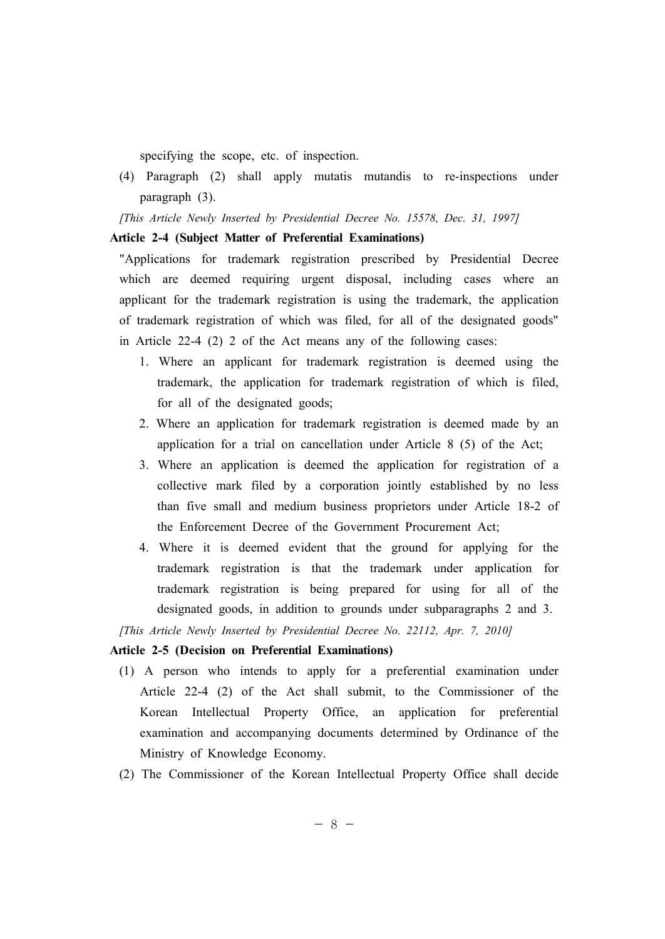specifying the scope, etc. of inspection.

(4) Paragraph (2) shall apply mutatis mutandis to re-inspections under paragraph (3).

*[This Article Newly Inserted by Presidential Decree No. 15578, Dec. 31, 1997]*

# **Article 2-4 (Subject Matter of Preferential Examinations)**

"Applications for trademark registration prescribed by Presidential Decree which are deemed requiring urgent disposal, including cases where an applicant for the trademark registration is using the trademark, the application of trademark registration of which was filed, for all of the designated goods" in Article 22-4 (2) 2 of the Act means any of the following cases:

- 1. Where an applicant for trademark registration is deemed using the trademark, the application for trademark registration of which is filed, for all of the designated goods;
- 2. Where an application for trademark registration is deemed made by an application for a trial on cancellation under Article 8 (5) of the Act;
- 3. Where an application is deemed the application for registration of a collective mark filed by a corporation jointly established by no less than five small and medium business proprietors under Article 18-2 of the Enforcement Decree of the Government Procurement Act;
- 4. Where it is deemed evident that the ground for applying for the trademark registration is that the trademark under application for trademark registration is being prepared for using for all of the designated goods, in addition to grounds under subparagraphs 2 and 3.

*[This Article Newly Inserted by Presidential Decree No. 22112, Apr. 7, 2010]*

#### **Article 2-5 (Decision on Preferential Examinations)**

- (1) A person who intends to apply for a preferential examination under Article 22-4 (2) of the Act shall submit, to the Commissioner of the Korean Intellectual Property Office, an application for preferential examination and accompanying documents determined by Ordinance of the Ministry of Knowledge Economy.
- (2) The Commissioner of the Korean Intellectual Property Office shall decide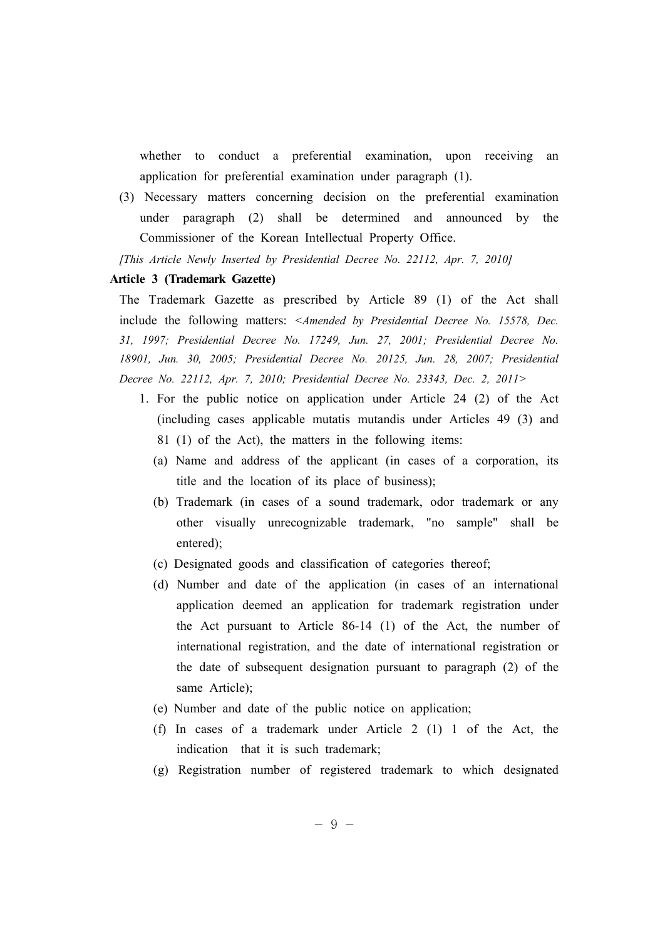whether to conduct a preferential examination, upon receiving an application for preferential examination under paragraph (1).

(3) Necessary matters concerning decision on the preferential examination under paragraph (2) shall be determined and announced by the Commissioner of the Korean Intellectual Property Office.

*[This Article Newly Inserted by Presidential Decree No. 22112, Apr. 7, 2010]*

#### **Article 3 (Trademark Gazette)**

The Trademark Gazette as prescribed by Article 89 (1) of the Act shall include the following matters: *<Amended by Presidential Decree No. 15578, Dec. 31, 1997; Presidential Decree No. 17249, Jun. 27, 2001; Presidential Decree No. 18901, Jun. 30, 2005; Presidential Decree No. 20125, Jun. 28, 2007; Presidential Decree No. 22112, Apr. 7, 2010; Presidential Decree No. 23343, Dec. 2, 2011>*

- 1. For the public notice on application under Article 24 (2) of the Act (including cases applicable mutatis mutandis under Articles 49 (3) and 81 (1) of the Act), the matters in the following items:
	- (a) Name and address of the applicant (in cases of a corporation, its title and the location of its place of business);
	- (b) Trademark (in cases of a sound trademark, odor trademark or any other visually unrecognizable trademark, "no sample" shall be entered);
	- (c) Designated goods and classification of categories thereof;
	- (d) Number and date of the application (in cases of an international application deemed an application for trademark registration under the Act pursuant to Article 86-14 (1) of the Act, the number of international registration, and the date of international registration or the date of subsequent designation pursuant to paragraph (2) of the same Article);
	- (e) Number and date of the public notice on application;
	- (f) In cases of a trademark under Article 2 (1) 1 of the Act, the indication that it is such trademark;
	- (g) Registration number of registered trademark to which designated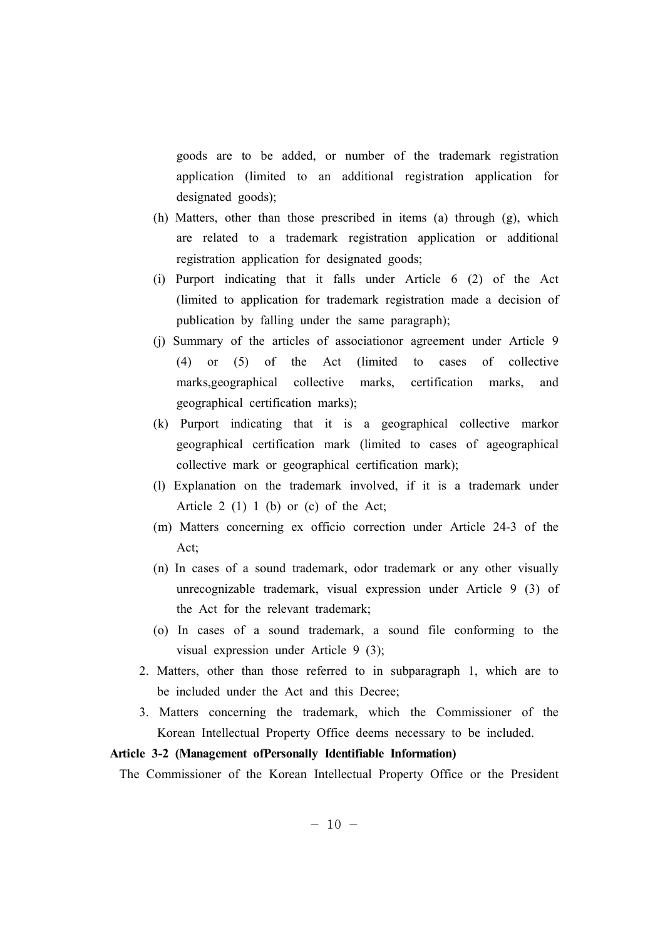goods are to be added, or number of the trademark registration application (limited to an additional registration application for designated goods);

- (h) Matters, other than those prescribed in items (a) through (g), which are related to a trademark registration application or additional registration application for designated goods;
- (i) Purport indicating that it falls under Article 6 (2) of the Act (limited to application for trademark registration made a decision of publication by falling under the same paragraph);
- (j) Summary of the articles of associationor agreement under Article 9 (4) or (5) of the Act (limited to cases of collective marks,geographical collective marks, certification marks, and geographical certification marks);
- (k) Purport indicating that it is a geographical collective markor geographical certification mark (limited to cases of ageographical collective mark or geographical certification mark);
- (l) Explanation on the trademark involved, if it is a trademark under Article  $2(1)$  1 (b) or (c) of the Act;
- (m) Matters concerning ex officio correction under Article 24-3 of the Act;
- (n) In cases of a sound trademark, odor trademark or any other visually unrecognizable trademark, visual expression under Article 9 (3) of the Act for the relevant trademark;
- (o) In cases of a sound trademark, a sound file conforming to the visual expression under Article 9 (3);
- 2. Matters, other than those referred to in subparagraph 1, which are to be included under the Act and this Decree;
- 3. Matters concerning the trademark, which the Commissioner of the Korean Intellectual Property Office deems necessary to be included.

# **Article 3-2 (Management ofPersonally Identifiable Information)**

The Commissioner of the Korean Intellectual Property Office or the President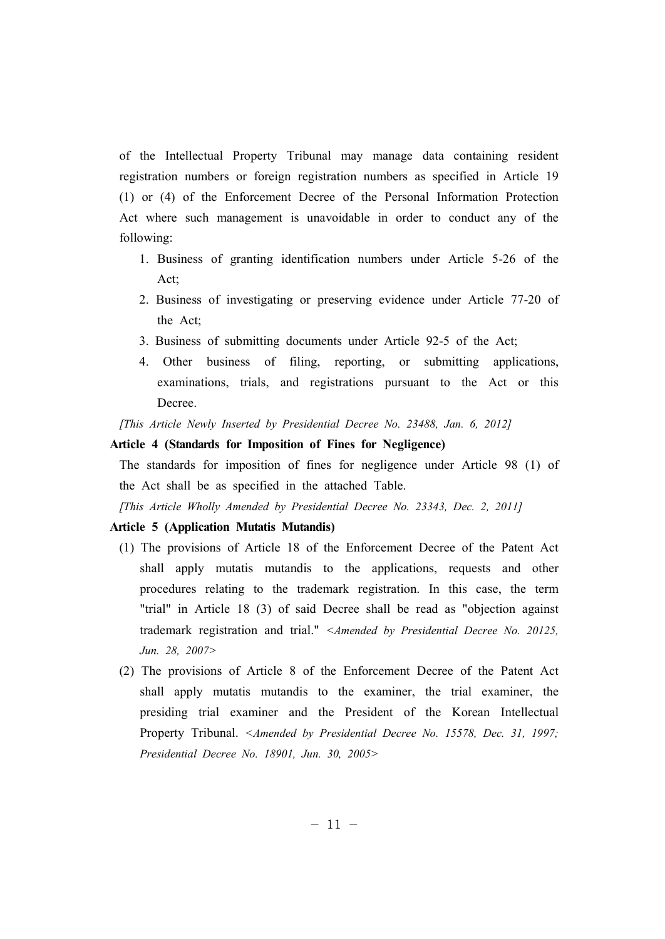of the Intellectual Property Tribunal may manage data containing resident registration numbers or foreign registration numbers as specified in Article 19 (1) or (4) of the Enforcement Decree of the Personal Information Protection Act where such management is unavoidable in order to conduct any of the following:

- 1. Business of granting identification numbers under Article 5-26 of the Act;
- 2. Business of investigating or preserving evidence under Article 77-20 of the Act;
- 3. Business of submitting documents under Article 92-5 of the Act;
- 4. Other business of filing, reporting, or submitting applications, examinations, trials, and registrations pursuant to the Act or this Decree.

*[This Article Newly Inserted by Presidential Decree No. 23488, Jan. 6, 2012]*

#### **Article 4 (Standards for Imposition of Fines for Negligence)**

The standards for imposition of fines for negligence under Article 98 (1) of the Act shall be as specified in the attached Table.

*[This Article Wholly Amended by Presidential Decree No. 23343, Dec. 2, 2011]*

## **Article 5 (Application Mutatis Mutandis)**

- (1) The provisions of Article 18 of the Enforcement Decree of the Patent Act shall apply mutatis mutandis to the applications, requests and other procedures relating to the trademark registration. In this case, the term "trial" in Article 18 (3) of said Decree shall be read as "objection against trademark registration and trial." *<Amended by Presidential Decree No. 20125, Jun. 28, 2007>*
- (2) The provisions of Article 8 of the Enforcement Decree of the Patent Act shall apply mutatis mutandis to the examiner, the trial examiner, the presiding trial examiner and the President of the Korean Intellectual Property Tribunal. *<Amended by Presidential Decree No. 15578, Dec. 31, 1997; Presidential Decree No. 18901, Jun. 30, 2005>*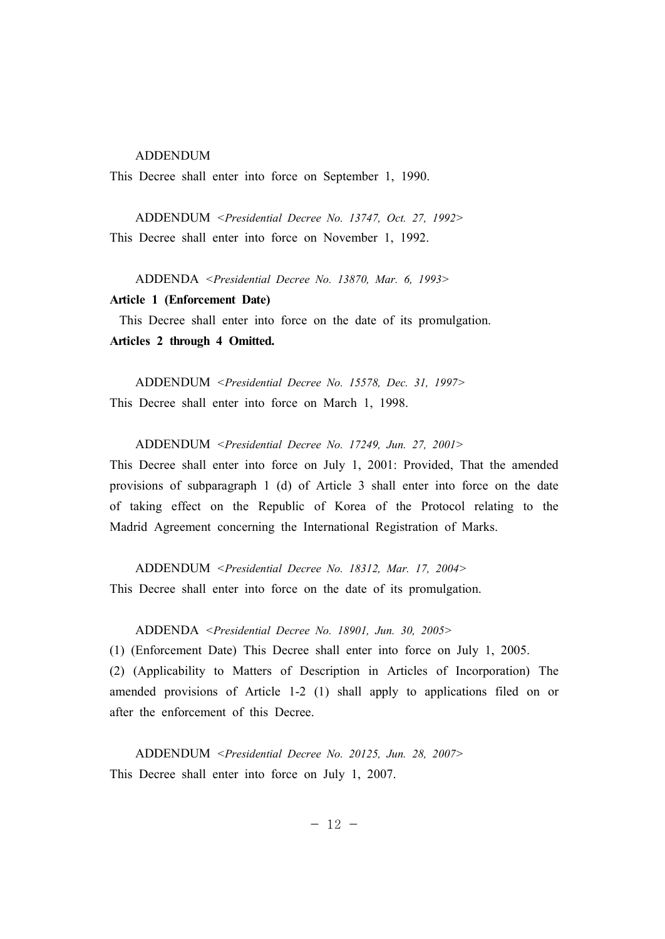#### ADDENDUM

This Decree shall enter into force on September 1, 1990.

ADDENDUM *<Presidential Decree No. 13747, Oct. 27, 1992>* This Decree shall enter into force on November 1, 1992.

ADDENDA *<Presidential Decree No. 13870, Mar. 6, 1993>*

#### **Article 1 (Enforcement Date)**

This Decree shall enter into force on the date of its promulgation. **Articles 2 through 4 Omitted.**

ADDENDUM *<Presidential Decree No. 15578, Dec. 31, 1997>* This Decree shall enter into force on March 1, 1998.

#### ADDENDUM *<Presidential Decree No. 17249, Jun. 27, 2001>*

This Decree shall enter into force on July 1, 2001: Provided, That the amended provisions of subparagraph 1 (d) of Article 3 shall enter into force on the date of taking effect on the Republic of Korea of the Protocol relating to the Madrid Agreement concerning the International Registration of Marks.

ADDENDUM *<Presidential Decree No. 18312, Mar. 17, 2004>* This Decree shall enter into force on the date of its promulgation.

ADDENDA *<Presidential Decree No. 18901, Jun. 30, 2005>*

(1) (Enforcement Date) This Decree shall enter into force on July 1, 2005. (2) (Applicability to Matters of Description in Articles of Incorporation) The amended provisions of Article 1-2 (1) shall apply to applications filed on or after the enforcement of this Decree.

ADDENDUM *<Presidential Decree No. 20125, Jun. 28, 2007>* This Decree shall enter into force on July 1, 2007.

 $- 12 -$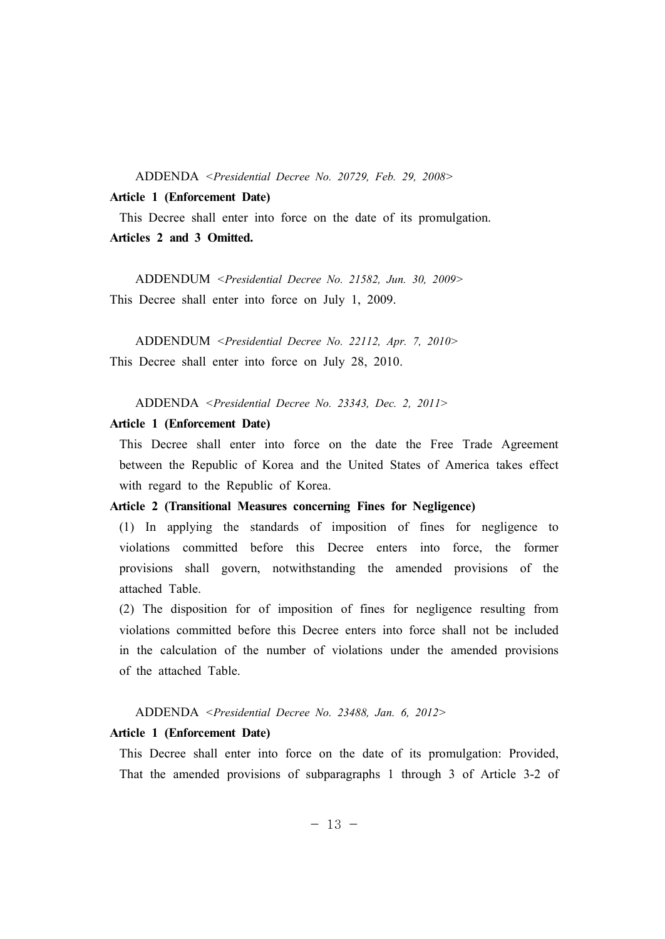ADDENDA *<Presidential Decree No. 20729, Feb. 29, 2008>*

#### **Article 1 (Enforcement Date)**

This Decree shall enter into force on the date of its promulgation. **Articles 2 and 3 Omitted.**

ADDENDUM *<Presidential Decree No. 21582, Jun. 30, 2009>* This Decree shall enter into force on July 1, 2009.

ADDENDUM *<Presidential Decree No. 22112, Apr. 7, 2010>* This Decree shall enter into force on July 28, 2010.

ADDENDA *<Presidential Decree No. 23343, Dec. 2, 2011>*

#### **Article 1 (Enforcement Date)**

This Decree shall enter into force on the date the Free Trade Agreement between the Republic of Korea and the United States of America takes effect with regard to the Republic of Korea.

#### **Article 2 (Transitional Measures concerning Fines for Negligence)**

(1) In applying the standards of imposition of fines for negligence to violations committed before this Decree enters into force, the former provisions shall govern, notwithstanding the amended provisions of the attached Table.

(2) The disposition for of imposition of fines for negligence resulting from violations committed before this Decree enters into force shall not be included in the calculation of the number of violations under the amended provisions of the attached Table.

ADDENDA *<Presidential Decree No. 23488, Jan. 6, 2012>*

### **Article 1 (Enforcement Date)**

This Decree shall enter into force on the date of its promulgation: Provided, That the amended provisions of subparagraphs 1 through 3 of Article 3-2 of